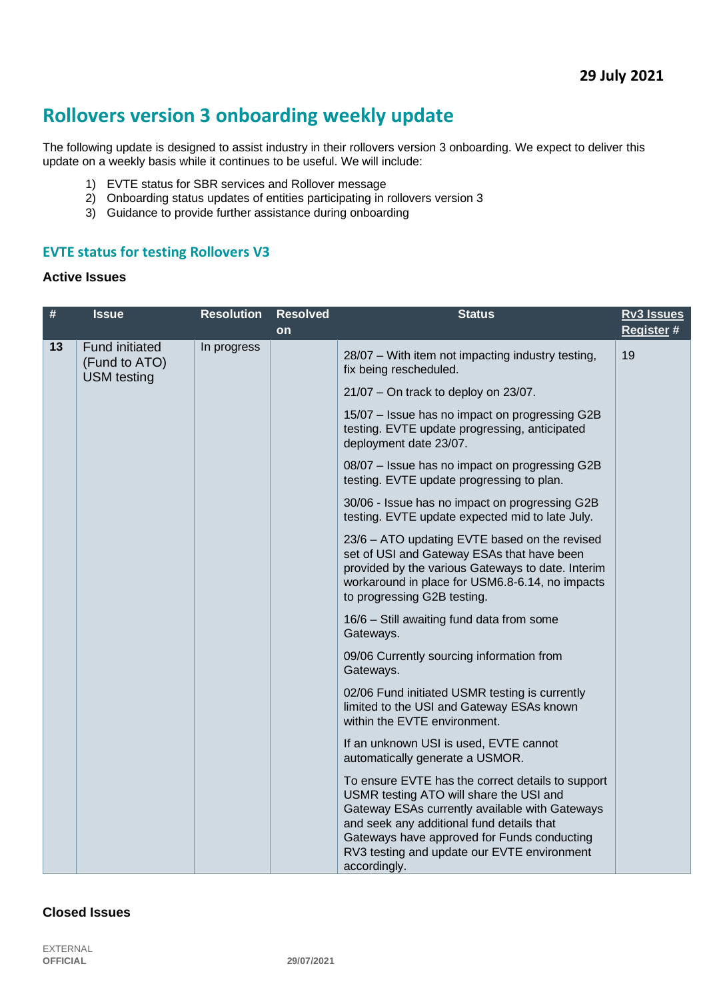# **Rollovers version 3 onboarding weekly update**

The following update is designed to assist industry in their rollovers version 3 onboarding. We expect to deliver this update on a weekly basis while it continues to be useful. We will include:

- 1) EVTE status for SBR services and Rollover message
- 2) Onboarding status updates of entities participating in rollovers version 3
- 3) Guidance to provide further assistance during onboarding

#### **EVTE status for testing Rollovers V3**

#### **Active Issues**

| $\#$ | <b>Issue</b>                                                 | <b>Resolution</b> | <b>Resolved</b> | <b>Status</b>                                                                                                                                                                                                                                                                                             | Rv3 Issues |
|------|--------------------------------------------------------------|-------------------|-----------------|-----------------------------------------------------------------------------------------------------------------------------------------------------------------------------------------------------------------------------------------------------------------------------------------------------------|------------|
|      |                                                              |                   | on              |                                                                                                                                                                                                                                                                                                           | Register # |
| 13   | <b>Fund initiated</b><br>(Fund to ATO)<br><b>USM</b> testing | In progress       |                 | 28/07 - With item not impacting industry testing,<br>fix being rescheduled.                                                                                                                                                                                                                               | 19         |
|      |                                                              |                   |                 | $21/07$ – On track to deploy on 23/07.                                                                                                                                                                                                                                                                    |            |
|      |                                                              |                   |                 | 15/07 - Issue has no impact on progressing G2B<br>testing. EVTE update progressing, anticipated<br>deployment date 23/07.                                                                                                                                                                                 |            |
|      |                                                              |                   |                 | 08/07 - Issue has no impact on progressing G2B<br>testing. EVTE update progressing to plan.                                                                                                                                                                                                               |            |
|      |                                                              |                   |                 | 30/06 - Issue has no impact on progressing G2B<br>testing. EVTE update expected mid to late July.                                                                                                                                                                                                         |            |
|      |                                                              |                   |                 | 23/6 - ATO updating EVTE based on the revised<br>set of USI and Gateway ESAs that have been<br>provided by the various Gateways to date. Interim<br>workaround in place for USM6.8-6.14, no impacts<br>to progressing G2B testing.                                                                        |            |
|      |                                                              |                   |                 | 16/6 - Still awaiting fund data from some<br>Gateways.                                                                                                                                                                                                                                                    |            |
|      |                                                              |                   |                 | 09/06 Currently sourcing information from<br>Gateways.                                                                                                                                                                                                                                                    |            |
|      |                                                              |                   |                 | 02/06 Fund initiated USMR testing is currently<br>limited to the USI and Gateway ESAs known<br>within the EVTE environment.                                                                                                                                                                               |            |
|      |                                                              |                   |                 | If an unknown USI is used, EVTE cannot<br>automatically generate a USMOR.                                                                                                                                                                                                                                 |            |
|      |                                                              |                   |                 | To ensure EVTE has the correct details to support<br>USMR testing ATO will share the USI and<br>Gateway ESAs currently available with Gateways<br>and seek any additional fund details that<br>Gateways have approved for Funds conducting<br>RV3 testing and update our EVTE environment<br>accordingly. |            |

#### **Closed Issues**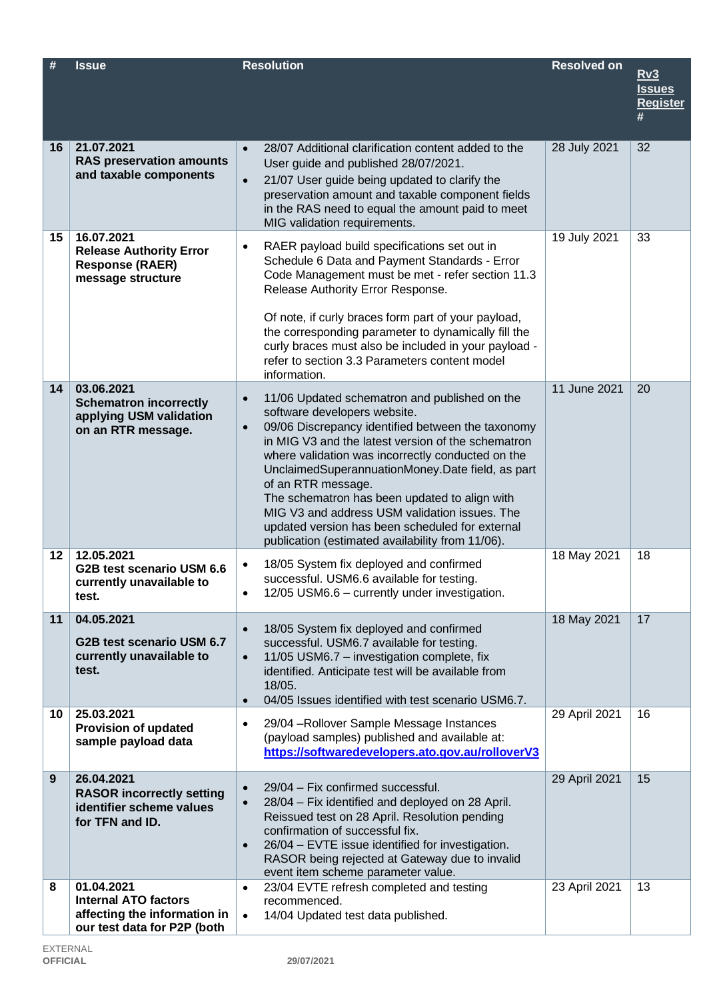| #  | <b>Issue</b>                                                                                             | <b>Resolution</b>                                                                                                                                                                                                                                                                                                                                                                                                                                                                                                                                          | <b>Resolved on</b> | <u>Rv3</u><br><b>Issues</b><br><b>Register</b> |
|----|----------------------------------------------------------------------------------------------------------|------------------------------------------------------------------------------------------------------------------------------------------------------------------------------------------------------------------------------------------------------------------------------------------------------------------------------------------------------------------------------------------------------------------------------------------------------------------------------------------------------------------------------------------------------------|--------------------|------------------------------------------------|
| 16 | 21.07.2021<br><b>RAS preservation amounts</b><br>and taxable components                                  | 28/07 Additional clarification content added to the<br>$\bullet$<br>User guide and published 28/07/2021.<br>21/07 User guide being updated to clarify the<br>$\bullet$<br>preservation amount and taxable component fields<br>in the RAS need to equal the amount paid to meet<br>MIG validation requirements.                                                                                                                                                                                                                                             | 28 July 2021       | 32                                             |
| 15 | 16.07.2021<br><b>Release Authority Error</b><br><b>Response (RAER)</b><br>message structure              | RAER payload build specifications set out in<br>$\bullet$<br>Schedule 6 Data and Payment Standards - Error<br>Code Management must be met - refer section 11.3<br>Release Authority Error Response.<br>Of note, if curly braces form part of your payload,<br>the corresponding parameter to dynamically fill the<br>curly braces must also be included in your payload -<br>refer to section 3.3 Parameters content model<br>information.                                                                                                                 | 19 July 2021       | 33                                             |
| 14 | 03.06.2021<br><b>Schematron incorrectly</b><br>applying USM validation<br>on an RTR message.             | 11/06 Updated schematron and published on the<br>$\bullet$<br>software developers website.<br>09/06 Discrepancy identified between the taxonomy<br>$\bullet$<br>in MIG V3 and the latest version of the schematron<br>where validation was incorrectly conducted on the<br>UnclaimedSuperannuationMoney.Date field, as part<br>of an RTR message.<br>The schematron has been updated to align with<br>MIG V3 and address USM validation issues. The<br>updated version has been scheduled for external<br>publication (estimated availability from 11/06). | 11 June 2021       | 20                                             |
| 12 | 12.05.2021<br>G2B test scenario USM 6.6<br>currently unavailable to<br>test.                             | 18/05 System fix deployed and confirmed<br>$\bullet$<br>successful. USM6.6 available for testing.<br>12/05 USM6.6 – currently under investigation.                                                                                                                                                                                                                                                                                                                                                                                                         | 18 May 2021        | 18                                             |
| 11 | 04.05.2021<br>G2B test scenario USM 6.7<br>currently unavailable to<br>test.                             | 18/05 System fix deployed and confirmed<br>$\bullet$<br>successful. USM6.7 available for testing.<br>11/05 USM6.7 - investigation complete, fix<br>$\bullet$<br>identified. Anticipate test will be available from<br>18/05.<br>04/05 Issues identified with test scenario USM6.7.<br>$\bullet$                                                                                                                                                                                                                                                            | 18 May 2021        | 17                                             |
| 10 | 25.03.2021<br><b>Provision of updated</b><br>sample payload data                                         | 29/04 - Rollover Sample Message Instances<br>$\bullet$<br>(payload samples) published and available at:<br>https://softwaredevelopers.ato.gov.au/rolloverV3                                                                                                                                                                                                                                                                                                                                                                                                | 29 April 2021      | 16                                             |
| 9  | 26.04.2021<br><b>RASOR incorrectly setting</b><br>identifier scheme values<br>for TFN and ID.            | 29/04 - Fix confirmed successful.<br>$\bullet$<br>28/04 - Fix identified and deployed on 28 April.<br>$\bullet$<br>Reissued test on 28 April. Resolution pending<br>confirmation of successful fix.<br>26/04 - EVTE issue identified for investigation.<br>$\bullet$<br>RASOR being rejected at Gateway due to invalid<br>event item scheme parameter value.                                                                                                                                                                                               | 29 April 2021      | 15                                             |
| 8  | 01.04.2021<br><b>Internal ATO factors</b><br>affecting the information in<br>our test data for P2P (both | 23/04 EVTE refresh completed and testing<br>$\bullet$<br>recommenced.<br>14/04 Updated test data published.<br>$\bullet$                                                                                                                                                                                                                                                                                                                                                                                                                                   | 23 April 2021      | 13                                             |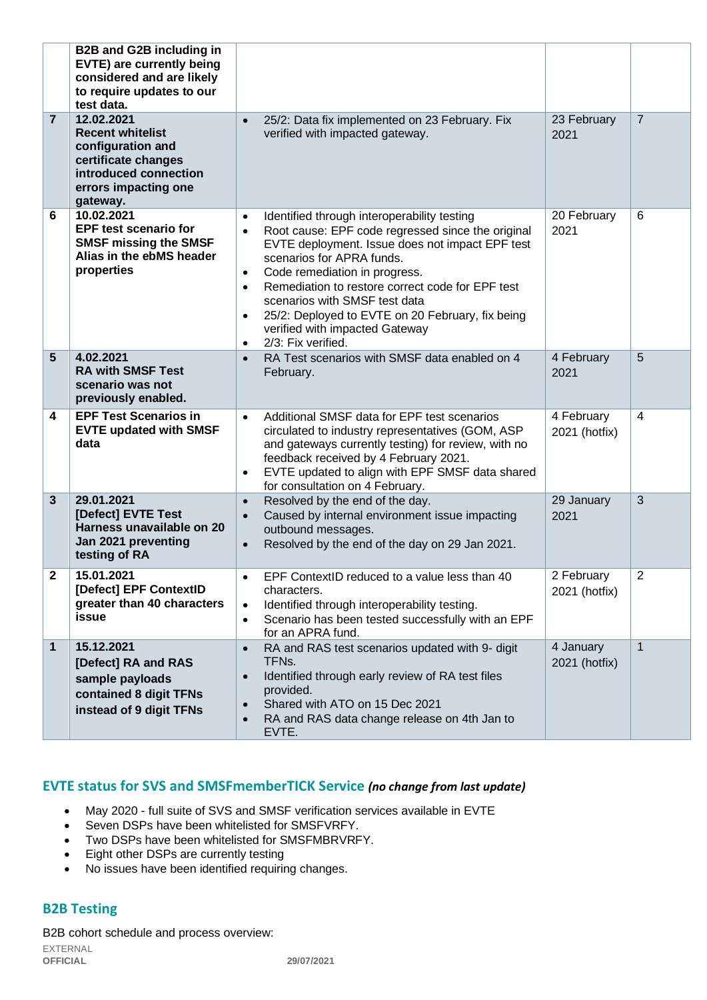|                | <b>B2B and G2B including in</b><br>EVTE) are currently being<br>considered and are likely<br>to require updates to our<br>test data.           |                                                                                                                                                                                                                                                                                                                                                                                                                                                                                                  |                             |                         |
|----------------|------------------------------------------------------------------------------------------------------------------------------------------------|--------------------------------------------------------------------------------------------------------------------------------------------------------------------------------------------------------------------------------------------------------------------------------------------------------------------------------------------------------------------------------------------------------------------------------------------------------------------------------------------------|-----------------------------|-------------------------|
| $\overline{7}$ | 12.02.2021<br><b>Recent whitelist</b><br>configuration and<br>certificate changes<br>introduced connection<br>errors impacting one<br>gateway. | 25/2: Data fix implemented on 23 February. Fix<br>$\bullet$<br>verified with impacted gateway.                                                                                                                                                                                                                                                                                                                                                                                                   | 23 February<br>2021         | $\overline{7}$          |
| 6              | 10.02.2021<br><b>EPF test scenario for</b><br><b>SMSF missing the SMSF</b><br>Alias in the ebMS header<br>properties                           | Identified through interoperability testing<br>$\bullet$<br>Root cause: EPF code regressed since the original<br>$\bullet$<br>EVTE deployment. Issue does not impact EPF test<br>scenarios for APRA funds.<br>Code remediation in progress.<br>$\bullet$<br>Remediation to restore correct code for EPF test<br>$\bullet$<br>scenarios with SMSF test data<br>25/2: Deployed to EVTE on 20 February, fix being<br>$\bullet$<br>verified with impacted Gateway<br>2/3: Fix verified.<br>$\bullet$ | 20 February<br>2021         | 6                       |
| $5\phantom{1}$ | 4.02.2021<br><b>RA with SMSF Test</b><br>scenario was not<br>previously enabled.                                                               | RA Test scenarios with SMSF data enabled on 4<br>$\bullet$<br>February.                                                                                                                                                                                                                                                                                                                                                                                                                          | 4 February<br>2021          | 5                       |
| 4              | <b>EPF Test Scenarios in</b><br><b>EVTE updated with SMSF</b><br>data                                                                          | Additional SMSF data for EPF test scenarios<br>$\bullet$<br>circulated to industry representatives (GOM, ASP<br>and gateways currently testing) for review, with no<br>feedback received by 4 February 2021.<br>EVTE updated to align with EPF SMSF data shared<br>$\bullet$<br>for consultation on 4 February.                                                                                                                                                                                  | 4 February<br>2021 (hotfix) | $\overline{\mathbf{4}}$ |
| $\mathbf{3}$   | 29.01.2021<br>[Defect] EVTE Test<br>Harness unavailable on 20<br>Jan 2021 preventing<br>testing of RA                                          | Resolved by the end of the day.<br>$\bullet$<br>Caused by internal environment issue impacting<br>$\bullet$<br>outbound messages.<br>Resolved by the end of the day on 29 Jan 2021.<br>$\bullet$                                                                                                                                                                                                                                                                                                 | 29 January<br>2021          | 3                       |
| $\mathbf 2$    | 15.01.2021<br>[Defect] EPF ContextID<br>greater than 40 characters<br>issue                                                                    | EPF ContextID reduced to a value less than 40<br>characters.<br>Identified through interoperability testing.<br>$\bullet$<br>Scenario has been tested successfully with an EPF<br>$\bullet$<br>for an APRA fund.                                                                                                                                                                                                                                                                                 | 2 February<br>2021 (hotfix) | 2                       |
| 1              | 15.12.2021<br>[Defect] RA and RAS<br>sample payloads<br>contained 8 digit TFNs<br>instead of 9 digit TFNs                                      | RA and RAS test scenarios updated with 9- digit<br>$\bullet$<br>TFNs.<br>Identified through early review of RA test files<br>$\bullet$<br>provided.<br>Shared with ATO on 15 Dec 2021<br>$\bullet$<br>RA and RAS data change release on 4th Jan to<br>$\bullet$<br>EVTE.                                                                                                                                                                                                                         | 4 January<br>2021 (hotfix)  | $\overline{1}$          |

## **EVTE status for SVS and SMSFmemberTICK Service** *(no change from last update)*

- May 2020 full suite of SVS and SMSF verification services available in EVTE
- Seven DSPs have been whitelisted for SMSFVRFY.
- Two DSPs have been whitelisted for SMSFMBRVRFY.
- Eight other DSPs are currently testing
- No issues have been identified requiring changes.

## **B2B Testing**

B2B cohort schedule and process overview: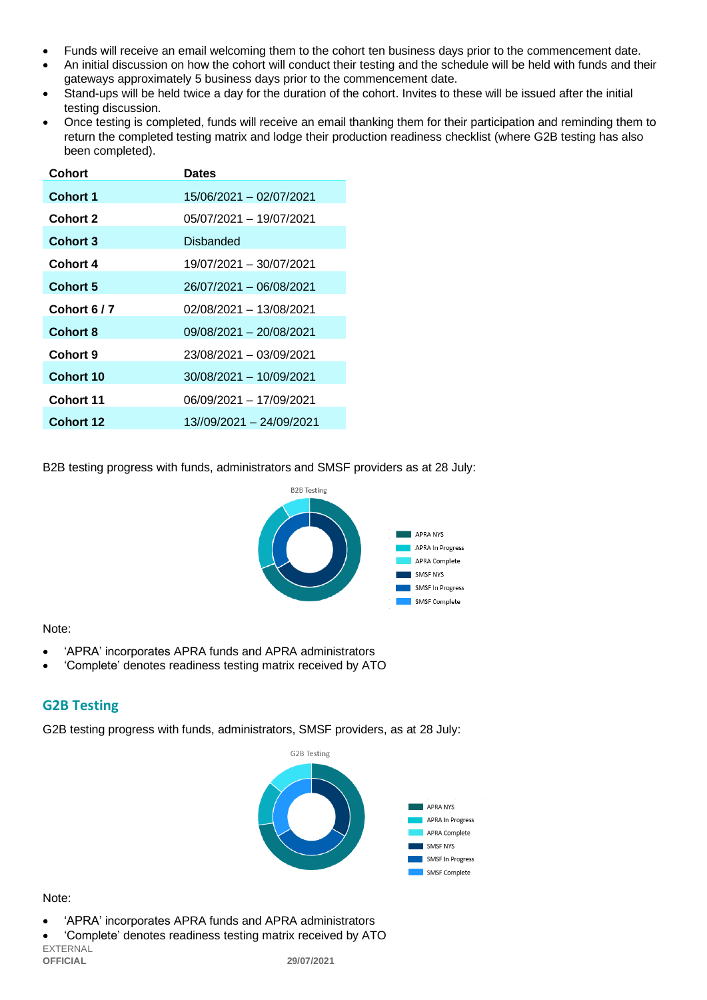- Funds will receive an email welcoming them to the cohort ten business days prior to the commencement date.
- An initial discussion on how the cohort will conduct their testing and the schedule will be held with funds and their gateways approximately 5 business days prior to the commencement date.
- Stand-ups will be held twice a day for the duration of the cohort. Invites to these will be issued after the initial testing discussion.
- Once testing is completed, funds will receive an email thanking them for their participation and reminding them to return the completed testing matrix and lodge their production readiness checklist (where G2B testing has also been completed).

| Cohort           | <b>Dates</b>             |
|------------------|--------------------------|
| Cohort 1         | 15/06/2021 - 02/07/2021  |
| <b>Cohort 2</b>  | 05/07/2021 – 19/07/2021  |
| <b>Cohort 3</b>  | Disbanded                |
| Cohort 4         | 19/07/2021 - 30/07/2021  |
| Cohort 5         | 26/07/2021 - 06/08/2021  |
| Cohort 6/7       | 02/08/2021 - 13/08/2021  |
| <b>Cohort 8</b>  | 09/08/2021 - 20/08/2021  |
| Cohort 9         | 23/08/2021 - 03/09/2021  |
| Cohort 10        | 30/08/2021 - 10/09/2021  |
| Cohort 11        | 06/09/2021 - 17/09/2021  |
| <b>Cohort 12</b> | 13//09/2021 - 24/09/2021 |

B2B testing progress with funds, administrators and SMSF providers as at 28 July:



#### Note:

- 'APRA' incorporates APRA funds and APRA administrators
- 'Complete' denotes readiness testing matrix received by ATO

## **G2B Testing**

G2B testing progress with funds, administrators, SMSF providers, as at 28 July:



#### Note:

- 'APRA' incorporates APRA funds and APRA administrators
- EXTERNAL **OFFICIAL 29/07/2021** • 'Complete' denotes readiness testing matrix received by ATO